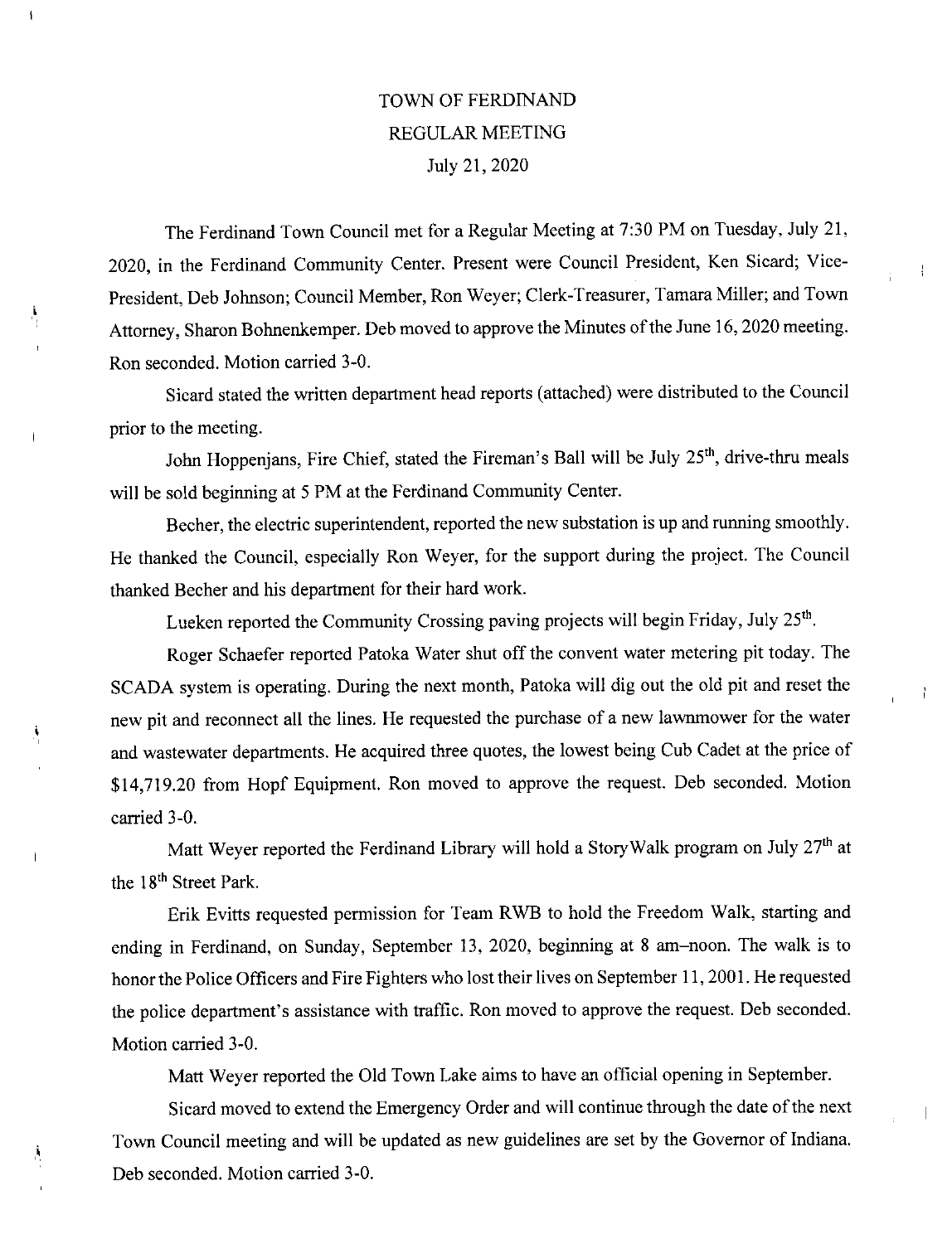## TOWN OF FERDINAND REGULAR MEETING July 21, 2020

 $\overline{1}$ 

À

 $\overline{1}$ 

Å

The Ferdinand Town Council met for a Regular Meeting at 7:30 PM on Tuesday, July 21, 2020, in the Ferdinand Community Center. Present were Council President, Ken Sicard; Vice-President, Deb Johnson; Council Member, Ron Weyer; Clerk-Treasurer, Tamara Miller; and Town Attorney, Sharon Bohnenkemper. Deb moved to approve the Minutes of the June 16, 2020 meeting. Ron seconded. Motion carried 3-0.

 $\frac{1}{4}$ 

÷,

Sicard stated the written department head reports (attached) were distributed to the Council prior to the meeting.

John Hoppenjans, Fire Chief, stated the Fireman's Ball will be July 25<sup>th</sup>, drive-thru meals will be sold beginning at 5 PM at the Ferdinand Community Center.

Becher, the electric superintendent, reported the new substation is up and running smoothly. He thanked the Council, especially Ron Weyer, for the support during the project. The Council thanked Becher and his department for their hazd work.

Lueken reported the Community Crossing paving projects will begin Friday, July 25<sup>th</sup>.

Roger Schaefer reported Patoka Water shut off the convent water metering pit today. The SCADA system is operating. During the next month, Patoka will dig out the old pit and reset the new pit and reconnect all the lines. He requested the purchase of a new lawnmower for the water and wastewater departments. He acquired three quotes, the lowest being Cub Cadet at the price of \$14,719.20 from Hopf Equipment. Ron moved to approve the request. Deb seconded. Motion carried 3-0.

Matt Weyer reported the Ferdinand Library will hold a StoryWalk program on July 27<sup>th</sup> at the 18<sup>th</sup> Street Park.

Erik Evitts requested permission for Team RWB to hold the Freedom Walk, starting and ending in Ferdinand, on Sunday, September 13, 2020, beginning at 8 am—noon. The walk is to honor the Police Officers and Fire Fighters who lost their lives on September 11, 2001. He requested the police department's assistance with traffic. Ron moved to approve the request. Deb seconded. Motion carried 3-0.

Matt Weyer reported the Old Town Lake aims to have an official opening in September.

Sicazd moved to extend the Emergency Order and will continue through the date of the next Town Council meeting and will be updated as new guidelines are set by the Governor of Indiana. Deb seconded. Motion carried 3-0.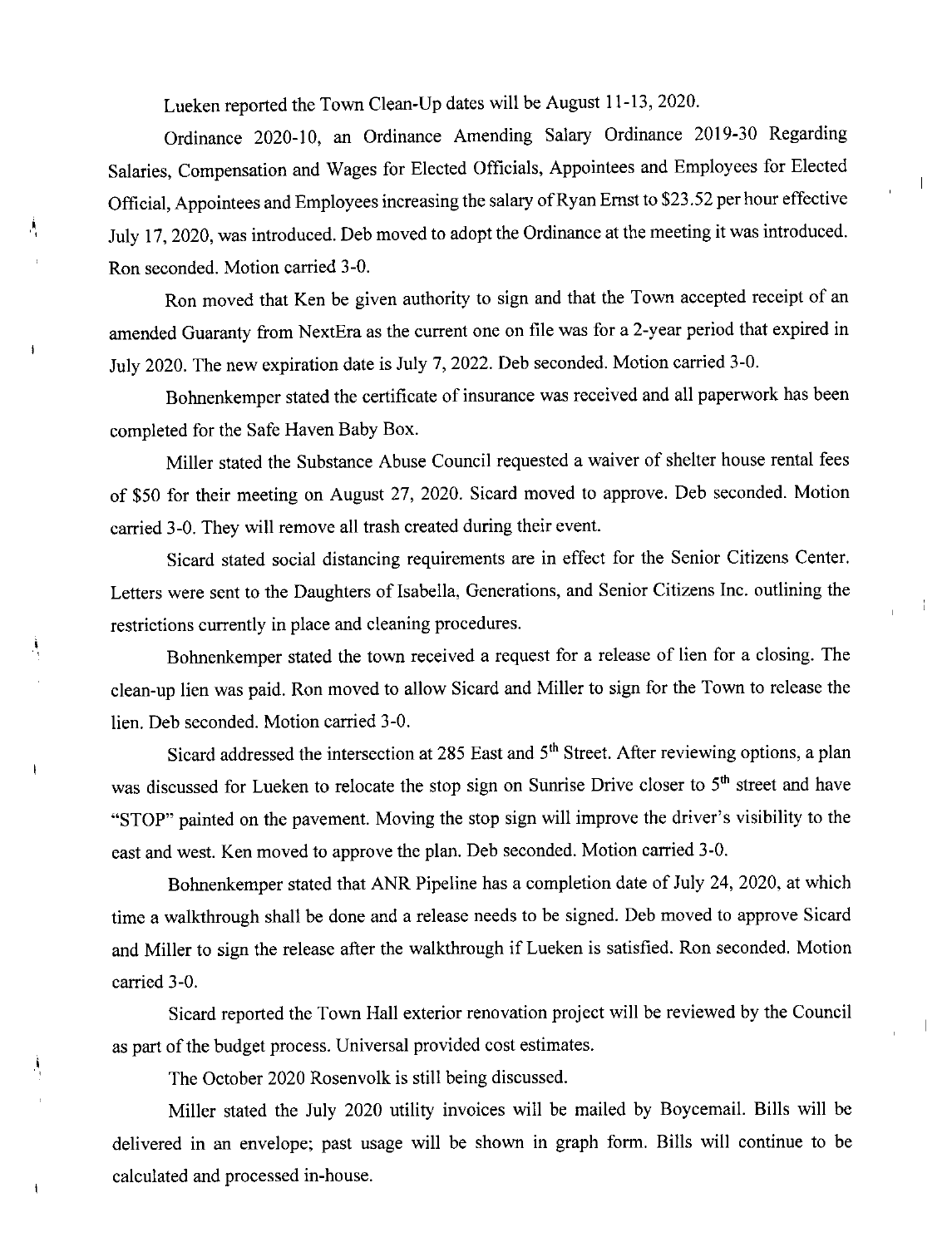Lueken reported the Town Clean-Up dates will be August 11-13, 2020.

Ą

j,

 $\mathbf i$ 

Ordinance 2020-10, an Ordinance Amending Salary Ordinance 2019-30 Regarding Salaries, Compensation and Wages for Elected Officials, Appointees and Employees for Elected Official, Appointees and Employees increasing the salazy of Ryan Ernst to \$23.52 per hour effective July 17, 2020, was introduced. Deb moved to adopt the Ordinance at the meeting it was introduced. Ron seconded. Motion carried 3-0.

Ron moved that Ken be given authority to sign and that the Town accepted receipt of an amended Guaranty from NextEra as the current one on file was fora 2-year period that expired in July 2020. The new expiration date is July 7, 2022. Deb seconded. Motion carried 3-0.

Bohnenkemper stated the certificate of insurance was received and all paperwork has been completed for the Safe Haven Baby Box.

Miller stated the Substance Abuse Council requested a waiver of shelter house rental fees of \$50 for their meeting on August 27, 2020. Sicard moved to approve. Deb seconded. Motion carried 3-0. They will remove all trash created during their event.

Sicazd stated social distancing requirements are in effect for the Senior Citizens Center. Letters were sent to the Daughters of Isabella, Generations, and Senior Citizens Inc. outlining the restrictions currently in place and cleaning procedures.

 $\mathbf{1}$ 

Bohnenkemper stated the town received a request for a release of lien for a closing. The clean-up lien was paid. Ron moved to allow Sicard and Miller to sign for the Town to release the lien. Deb seconded. Motion carried 3-0.

Sicard addressed the intersection at 285 East and 5<sup>th</sup> Street. After reviewing options, a plan was discussed for Lueken to relocate the stop sign on Sunrise Drive closer to 5<sup>th</sup> street and have "STOP" painted on the pavement. Moving the stop sign will improve the driver's visibility to the east and west. Ken moved to approve the plan. Deb seconded. Motion carried 3-0.

Bohnenkemper stated that ANR Pipeline has a completion date of July 24, 2020, at which time a walkthrough shall be done and a release needs to be signed. Deb moved to approve Sicard and Miller to sign the release after the walkthrough if Lueken is satisfied. Ron seconded. Motion carried 3-0.

Sicazd reported the Town Hall exterior renovation project will be reviewed by the Council as part of the budget process. Universal provided cost estimates.

The October 2020 Rosenvolk is still being discussed.

Miller stated the July 2020 utility invoices will be mailed by Boycemail. Bills will be delivered in an envelope; past usage will be shown in graph form. Bills will continue to be calculated and processed in-house.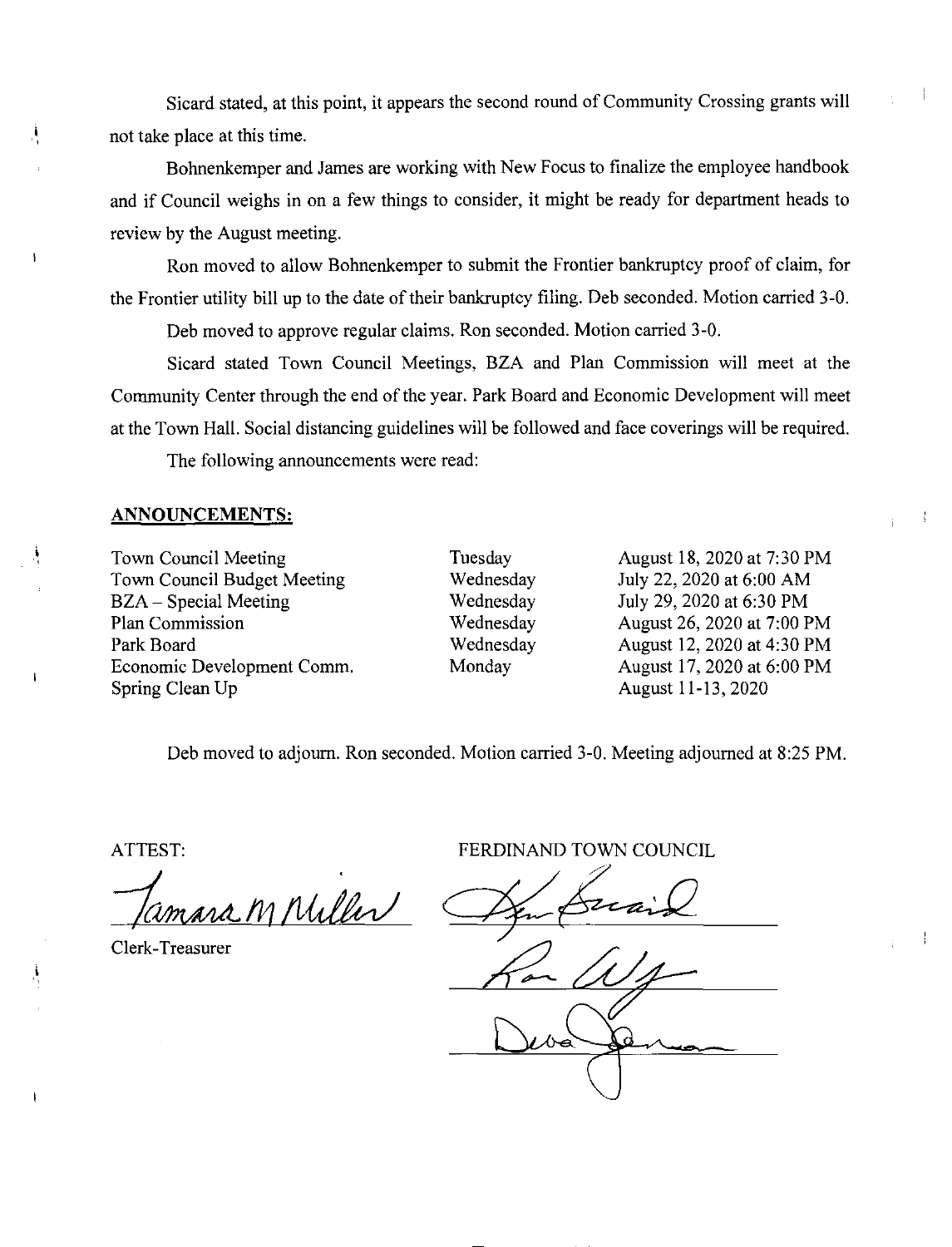Sicard stated, at this point, it appears the second round of Community Crossing grants will not take place at this time.

Bohnenkemper and James are working with New Focus to finalize the employee handbook and if Council weighs in on a few things to consider, it might be ready for department heads to review by the August meeting.

Ron moved to allow Bohnenkemper to submit the Frontier bankruptcy proof of claim, for the Frontier utility bill up to the date of their bankruptcy filing. Deb seconded. Motion carried 3-0.

Deb moved to approve regular claims. Ron seconded. Motion carried 3-0.

Sicard stated Town Council Meetings, BZA and Plan Commission will meet at the Community Center through the end of the year. Park Board and Economic Development will meet at the Town Hall. Social distancing guidelines will be followed and face coverings will be required.

The following announcements were read:

## ANNOUNCEMENTS:

i

À

i

Town Council Meeting Town Council Budget Meeting BZA —Special Meeting Plan Commission Park Board Economic Development Comm. Spring Clean Up

Tuesday Wednesday Wednesday Wednesday Wednesday **Monday** 

August 18, 2020 at 7:30 PM July 22, 2020 at 6:00 AM July 29, 2020 at 6:30 PM August 26, 2020 at 7:00 PM August 12, 2020 at 4:30 PM August 17, 2020 at 6:00 PM August 11-13, 2020

Deb moved to adjourn. Ron seconded. Motion carried 3-0. Meeting adjourned at 8:25 PM.

ATTEST:

M Miller  $\epsilon$ 

Clerk-Treasurer

FERDINAND TOWN COUNCIL  $\frac{P_{\text{max}}}{P_{\text{max}}}\frac{P_{\text{max}}}{P_{\text{max}}}$ 

 $\frac{\Delta v}{\Delta t}=\frac{\Delta v}{\Delta t}$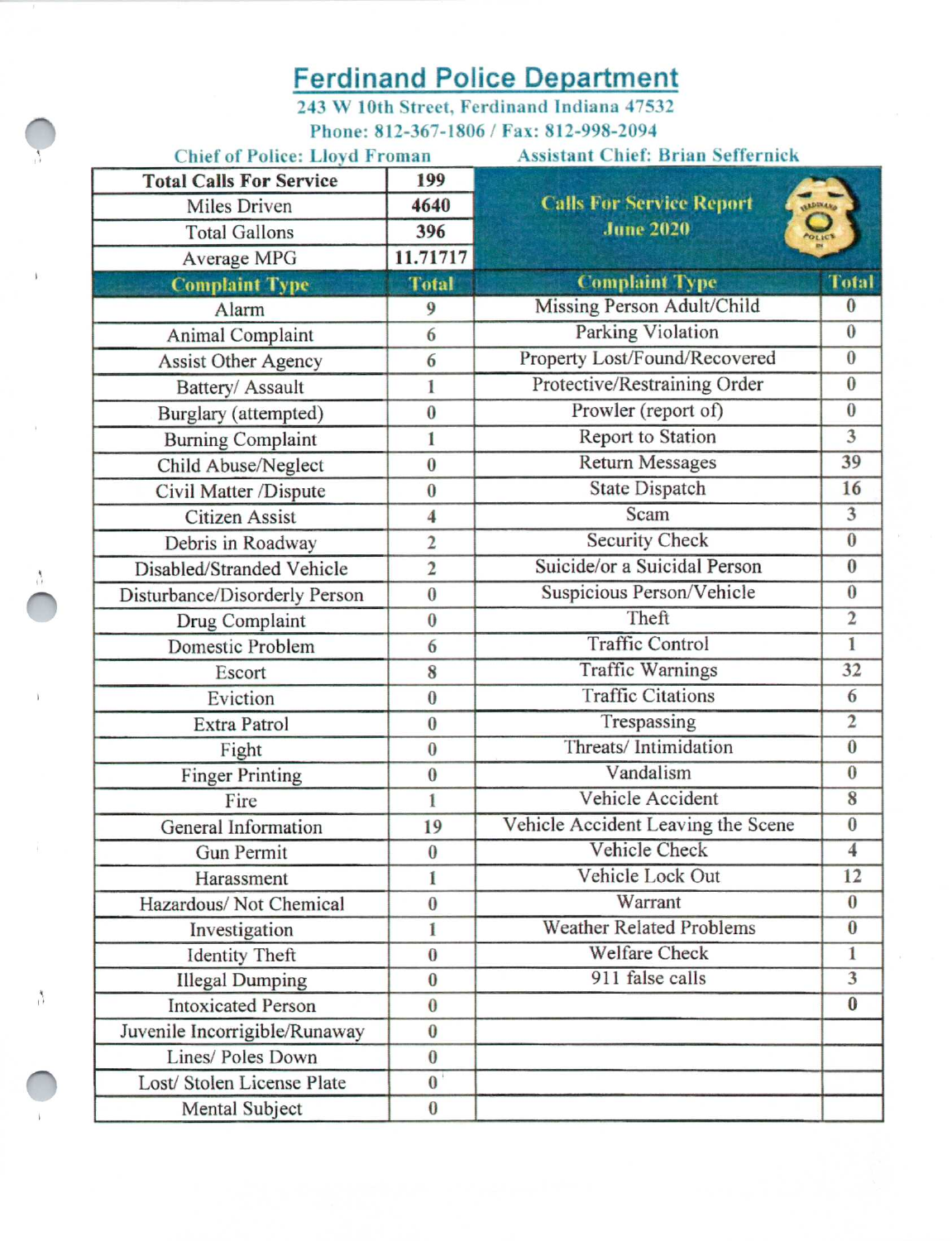## Ferdinand Police Department

 $243 W 10$ th Street, Ferdinand Indiana 47532 Phone: 812-367-1806 / Fax: 812-998-2094

| <b>Chief of Police: Lloyd Froman</b> |                           | <b>Assistant Chief: Brian Seffernick</b> |                         |  |  |  |  |  |  |  |  |  |
|--------------------------------------|---------------------------|------------------------------------------|-------------------------|--|--|--|--|--|--|--|--|--|
| <b>Total Calls For Service</b>       | 199                       |                                          |                         |  |  |  |  |  |  |  |  |  |
| Miles Driven                         | 4640                      | <b>Calls For Service Report</b>          | <b>ALLINARD</b>         |  |  |  |  |  |  |  |  |  |
| <b>Total Gallons</b>                 | 396                       | <b>June 2020</b>                         | <b>POLICE</b>           |  |  |  |  |  |  |  |  |  |
| Average MPG                          | 11.71717                  |                                          |                         |  |  |  |  |  |  |  |  |  |
| <b>Complaint Type</b>                | <b>Total</b>              | <b>Complaint Type</b>                    | <b>Total</b>            |  |  |  |  |  |  |  |  |  |
| Alarm                                | 9                         | Missing Person Adult/Child               | $\bf{0}$                |  |  |  |  |  |  |  |  |  |
| Animal Complaint                     | 6                         | Parking Violation                        | $\overline{0}$          |  |  |  |  |  |  |  |  |  |
| <b>Assist Other Agency</b>           | 6                         | Property Lost/Found/Recovered            | $\overline{0}$          |  |  |  |  |  |  |  |  |  |
| Battery/ Assault                     | 1                         | Protective/Restraining Order             | $\bf{0}$                |  |  |  |  |  |  |  |  |  |
| Burglary (attempted)                 | $\bf{0}$                  | Prowler (report of)                      | $\bf{0}$                |  |  |  |  |  |  |  |  |  |
| <b>Burning Complaint</b>             | 1                         | Report to Station                        | $\overline{\mathbf{3}}$ |  |  |  |  |  |  |  |  |  |
| Child Abuse/Neglect                  | $\bf{0}$                  | <b>Return Messages</b>                   | 39                      |  |  |  |  |  |  |  |  |  |
| Civil Matter /Dispute                | $\bf{0}$                  | <b>State Dispatch</b>                    | 16                      |  |  |  |  |  |  |  |  |  |
| <b>Citizen Assist</b>                | $\overline{\mathbf{4}}$   | Scam                                     | $\overline{3}$          |  |  |  |  |  |  |  |  |  |
| Debris in Roadway                    | $\overline{2}$            | <b>Security Check</b>                    | $\overline{0}$          |  |  |  |  |  |  |  |  |  |
| Disabled/Stranded Vehicle            | $\overline{2}$            | Suicide/or a Suicidal Person             | $\overline{0}$          |  |  |  |  |  |  |  |  |  |
| Disturbance/Disorderly Person        | $\bf{0}$                  | Suspicious Person/Vehicle                | $\overline{0}$          |  |  |  |  |  |  |  |  |  |
| Drug Complaint                       | $\bf{0}$                  | Theft                                    | $\overline{2}$          |  |  |  |  |  |  |  |  |  |
| Domestic Problem                     | 6                         | <b>Traffic Control</b>                   | $\overline{1}$          |  |  |  |  |  |  |  |  |  |
| Escort                               | 8                         | <b>Traffic Warnings</b>                  | 32                      |  |  |  |  |  |  |  |  |  |
| Eviction                             | $\bf{0}$                  | <b>Traffic Citations</b>                 | 6                       |  |  |  |  |  |  |  |  |  |
| <b>Extra Patrol</b>                  | $\boldsymbol{0}$          | Trespassing                              | $\overline{2}$          |  |  |  |  |  |  |  |  |  |
| Fight                                | $\bf{0}$                  | Threats/Intimidation                     | $\overline{0}$          |  |  |  |  |  |  |  |  |  |
| <b>Finger Printing</b>               | $\bf{0}$                  | Vandalism                                | $\bf{0}$                |  |  |  |  |  |  |  |  |  |
| Fire                                 | $\mathbf{1}$              | Vehicle Accident                         | 8                       |  |  |  |  |  |  |  |  |  |
| General Information                  | 19                        | Vehicle Accident Leaving the Scene       | $\overline{\mathbf{0}}$ |  |  |  |  |  |  |  |  |  |
| Gun Permit                           | $\pmb{0}$                 | Vehicle Check                            | $\overline{4}$          |  |  |  |  |  |  |  |  |  |
| Harassment                           | ĺ                         | Vehicle Lock Out                         | 12                      |  |  |  |  |  |  |  |  |  |
| Hazardous/Not Chemical               | $\bf{0}$                  | Warrant                                  | $\bf{0}$                |  |  |  |  |  |  |  |  |  |
| Investigation                        | 1                         | <b>Weather Related Problems</b>          | $\bf{0}$                |  |  |  |  |  |  |  |  |  |
| <b>Identity Theft</b>                | $\bf{0}$                  | <b>Welfare Check</b>                     | $\overline{1}$          |  |  |  |  |  |  |  |  |  |
| <b>Illegal Dumping</b>               | $\bf{0}$                  | 911 false calls                          | $\overline{3}$          |  |  |  |  |  |  |  |  |  |
| <b>Intoxicated Person</b>            | $\bf{0}$                  |                                          | $\bf{0}$                |  |  |  |  |  |  |  |  |  |
| Juvenile Incorrigible/Runaway        | $\bf{0}$                  |                                          |                         |  |  |  |  |  |  |  |  |  |
| Lines/ Poles Down                    | $\bf{0}$                  |                                          |                         |  |  |  |  |  |  |  |  |  |
| Lost/Stolen License Plate            | $\mathbf{0}^{\mathsf{T}}$ |                                          |                         |  |  |  |  |  |  |  |  |  |
| Mental Subject                       | $\pmb{0}$                 |                                          |                         |  |  |  |  |  |  |  |  |  |

 $\Lambda$ 

 $\stackrel{\text{\tiny 4}}{\rightarrow}$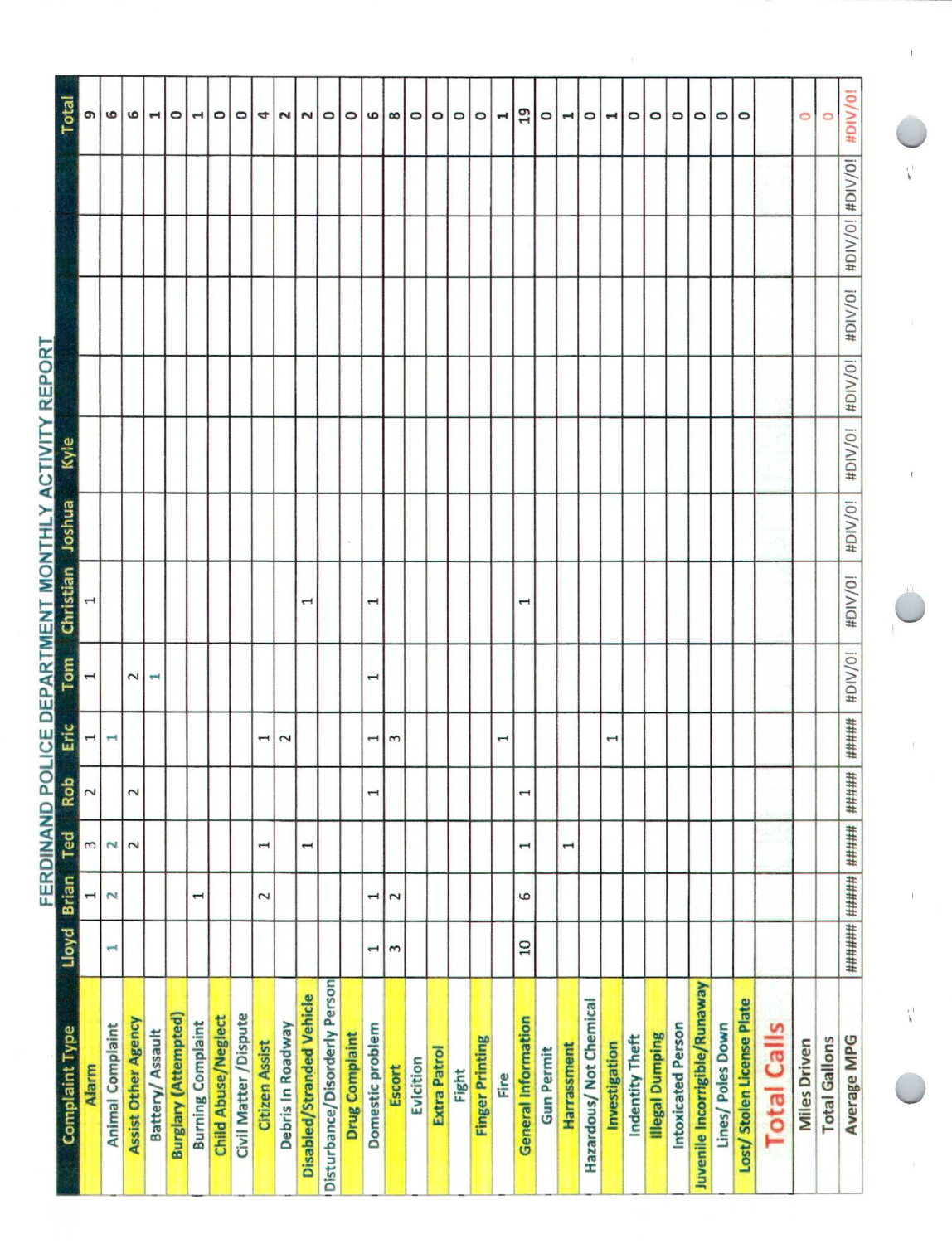| <b>Complaint Type</b>         | Lloyd Brian           |                       | Ted                      | Rot                   | Eric                                                                      | Tom                      | Christian                | <b>Joshua</b> | Kyle    |         |         |                 | Total                    |
|-------------------------------|-----------------------|-----------------------|--------------------------|-----------------------|---------------------------------------------------------------------------|--------------------------|--------------------------|---------------|---------|---------|---------|-----------------|--------------------------|
| Allarm                        |                       |                       | 3                        | 2                     | $\mathbf{r}$                                                              | $\mathbf{\mathbf{t}}$    |                          |               |         |         |         |                 | G)                       |
| <b>Animal Complaint</b>       | Ţ                     | $\sim$                | $\mathbf{z}$             |                       | $\overline{ }$                                                            |                          |                          |               |         |         |         |                 | $\circ$                  |
| <b>Assist Other Agency</b>    |                       |                       | $\sim$                   | 2                     |                                                                           | $\sim$                   |                          |               |         |         |         |                 | G                        |
| Battery/ Assault              |                       |                       |                          |                       |                                                                           | $\overline{\phantom{a}}$ |                          |               |         |         |         |                 | $\blacksquare$           |
| <b>Burglary (Attempted)</b>   |                       |                       |                          |                       |                                                                           |                          |                          |               |         |         |         |                 | $\circ$                  |
| <b>Burning Complaint</b>      |                       | 1                     |                          |                       |                                                                           |                          |                          |               |         |         |         |                 | $\overline{\phantom{a}}$ |
| <b>Child Abuse/Neglect</b>    |                       |                       |                          |                       |                                                                           |                          |                          |               |         |         |         |                 | $\circ$                  |
| Civil Matter / Dispute        |                       |                       |                          |                       |                                                                           |                          |                          |               |         |         |         |                 | $\circ$                  |
| <b>Citizen Assist</b>         |                       | 2                     | $\mathbf \mathbf +$      |                       | 1                                                                         |                          |                          |               |         |         |         |                 | 4                        |
| Debris In Roadway             |                       |                       |                          |                       | $\overline{\mathbf{c}}$                                                   |                          |                          |               |         |         |         |                 | $\sim$                   |
| Disabled/Stranded Vehicle     |                       |                       | $\overline{\phantom{0}}$ |                       |                                                                           |                          | H                        |               |         |         |         |                 | $\sim$                   |
| Disturbance/Disorderly Person |                       |                       |                          |                       |                                                                           |                          |                          |               |         |         |         |                 | $\circ$                  |
| <b>Drug Complaint</b>         |                       |                       |                          |                       |                                                                           |                          |                          |               |         |         |         |                 | $\circ$                  |
| Domestic problem              | $\mathbf{\mathbf{I}}$ | $\mathbf{\mathbf{1}}$ |                          | $\mathbf{\mathbf{f}}$ | $\overline{\phantom{0}}$                                                  | $\overline{ }$           | $\mathbf{\mathbf{f}}$    |               |         |         |         |                 | G                        |
| Escort                        | 3                     | 2                     |                          |                       | 3                                                                         |                          |                          |               |         |         |         |                 | $\infty$                 |
| Evicition                     |                       |                       |                          |                       |                                                                           |                          |                          |               |         |         |         |                 | $\circ$                  |
| Extra Patrol                  |                       |                       |                          |                       |                                                                           |                          |                          |               |         |         |         |                 | $\circ$                  |
| Fight                         |                       |                       |                          |                       |                                                                           |                          |                          |               |         |         |         |                 | $\circ$                  |
| <b>Finger Printing</b>        |                       |                       |                          |                       |                                                                           |                          |                          |               |         |         |         |                 | $\circ$                  |
| Fire                          |                       |                       |                          |                       | $\overline{\phantom{0}}$                                                  |                          |                          |               |         |         |         |                 | ᆏ                        |
| <b>General Information</b>    | $\overline{a}$        | 6                     | $\overline{ }$           | 1                     |                                                                           |                          | $\overline{\phantom{0}}$ |               |         |         |         |                 | 19                       |
| <b>Gun Permit</b>             |                       |                       |                          |                       |                                                                           |                          |                          |               |         |         |         |                 | $\circ$                  |
| Harrassment                   |                       |                       | $\mathbf{\mathbf{I}}$    |                       |                                                                           |                          |                          |               |         |         |         |                 | $\overline{\phantom{0}}$ |
| Hazardous/ Not Chemical       |                       |                       |                          |                       |                                                                           |                          |                          |               |         |         |         |                 | ۰                        |
| Investigation                 |                       |                       |                          |                       | $\mathbf{\mathbf{\mathbf{\mathbf{\mathbf{\mathbf{\mathbf{\mathbf{H}}}}}}$ |                          |                          |               |         |         |         |                 | $\blacktriangleleft$     |
| Indentity Theft               |                       |                       |                          |                       |                                                                           |                          |                          |               |         |         |         |                 | $\circ$                  |
| <b>Illegal Dumping</b>        |                       |                       |                          |                       |                                                                           |                          |                          |               |         |         |         |                 | $\circ$                  |
| Intoxicated Person            |                       |                       |                          |                       |                                                                           |                          |                          |               |         |         |         |                 | $\circ$                  |
| Juvenile Incorrigible/Runaway |                       |                       |                          |                       |                                                                           |                          |                          |               |         |         |         |                 | $\circ$                  |
| Lines/Poles Down              |                       |                       |                          |                       |                                                                           |                          |                          |               |         |         |         |                 | $\circ$                  |
| Lost/Stolen License Plate     |                       |                       |                          |                       |                                                                           |                          |                          |               |         |         |         |                 | $\circ$                  |
| <b>Total Calls</b>            |                       |                       |                          |                       |                                                                           |                          |                          |               |         |         |         |                 |                          |
| <b>Miles Driven</b>           |                       |                       |                          |                       |                                                                           |                          |                          |               |         |         |         |                 | 0                        |
| <b>Total Gallons</b>          |                       |                       |                          |                       |                                                                           |                          |                          |               |         |         |         |                 | O                        |
| Average MPG                   |                       |                       |                          | #####                 | #####                                                                     | #DIV/0!                  | #DIV/0!                  | #DIV/0!       | #DIV/0! | #DIV/0! | #DIV/0! | #DIV/0! #DIV/0! | #DIV/0!                  |

FERDINAND POLICE DEPARTMENT MONTHLY ACTIVITY REPORT

i.

 $\bar{t}$